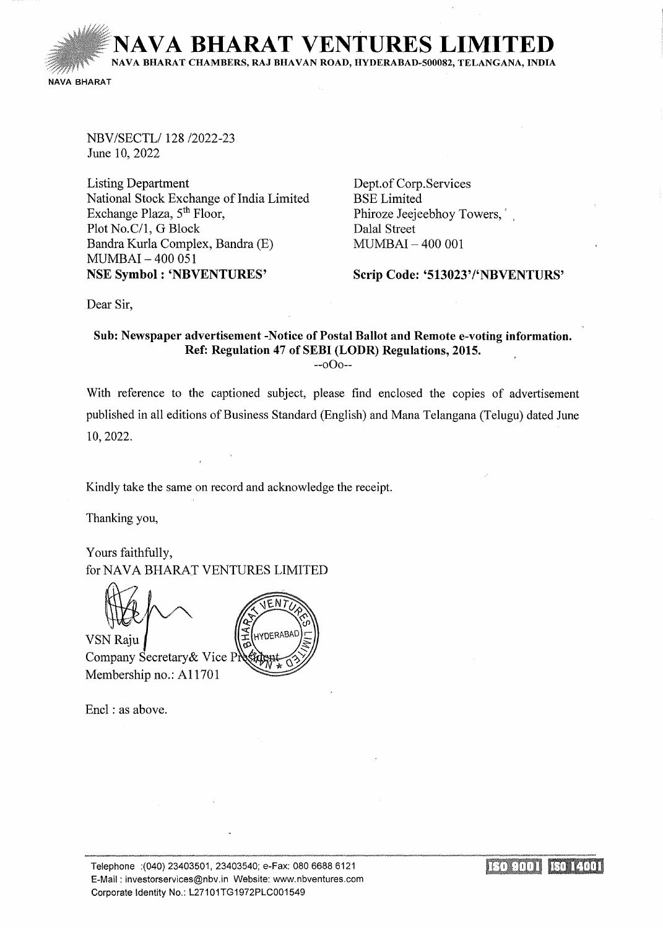**VA BHARAT VENTURES LII** 

NA VA BHARAT CHAMBERS, RAJ BHA VAN ROAD, HYDERABAD-500082, TELANGANA, INDIA

NAVA BHARAT

NBV/SECTL/ 128/2022-23 June 10, 2022

Listing Department National Stock Exchange of India Limited Exchange Plaza, 5<sup>th</sup> Floor, Plot No.C/1, G Block Bandra Kurla Complex, Bandra (E) MUMBAI- 400 051 NSE Symbol : 'NBVENTURES'

Dept.of Corp. Services BSE Limited Phiroze Jeejeebhoy Towers, Dalal Street MUMBAI- 400 001

Scrip Code: '513023'/'NBVENTURS'

Dear Sir,

## Sub: Newspaper advertisement -Notice of Postal Ballot and Remote e-voting information. Ref: Regulation 47 of SEBI (LODR) Regulations, 2015.

--oOo--

With reference to the captioned subject, please find enclosed the copies of advertisement published in all editions of Business Standard (English) and Mana Telangana (Telugu) dated June 10,2022.

Kindly take the same on record and acknowledge the receipt.

Thanking you,

Yours faithfully, for NAVA BHARAT VENTURES LIMITED

**VSN Raju** Company Secretary & Vice Pi Membership no.: A11701

Encl : as above.